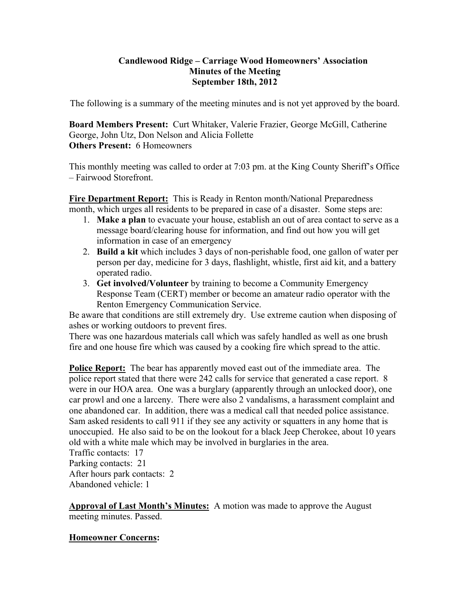#### **Candlewood Ridge – Carriage Wood Homeowners' Association Minutes of the Meeting September 18th, 2012**

The following is a summary of the meeting minutes and is not yet approved by the board.

**Board Members Present:** Curt Whitaker, Valerie Frazier, George McGill, Catherine George, John Utz, Don Nelson and Alicia Follette **Others Present:** 6 Homeowners

This monthly meeting was called to order at 7:03 pm. at the King County Sheriff's Office – Fairwood Storefront.

**Fire Department Report:** This is Ready in Renton month/National Preparedness month, which urges all residents to be prepared in case of a disaster. Some steps are:

- 1. **Make a plan** to evacuate your house, establish an out of area contact to serve as a message board/clearing house for information, and find out how you will get information in case of an emergency
- 2. **Build a kit** which includes 3 days of non-perishable food, one gallon of water per person per day, medicine for 3 days, flashlight, whistle, first aid kit, and a battery operated radio.
- 3. **Get involved/Volunteer** by training to become a Community Emergency Response Team (CERT) member or become an amateur radio operator with the Renton Emergency Communication Service.

Be aware that conditions are still extremely dry. Use extreme caution when disposing of ashes or working outdoors to prevent fires.

There was one hazardous materials call which was safely handled as well as one brush fire and one house fire which was caused by a cooking fire which spread to the attic.

**Police Report:** The bear has apparently moved east out of the immediate area. The police report stated that there were 242 calls for service that generated a case report. 8 were in our HOA area. One was a burglary (apparently through an unlocked door), one car prowl and one a larceny. There were also 2 vandalisms, a harassment complaint and one abandoned car. In addition, there was a medical call that needed police assistance. Sam asked residents to call 911 if they see any activity or squatters in any home that is unoccupied. He also said to be on the lookout for a black Jeep Cherokee, about 10 years old with a white male which may be involved in burglaries in the area.

Traffic contacts: 17 Parking contacts: 21 After hours park contacts: 2 Abandoned vehicle: 1

**Approval of Last Month's Minutes:** A motion was made to approve the August meeting minutes. Passed.

## **Homeowner Concerns:**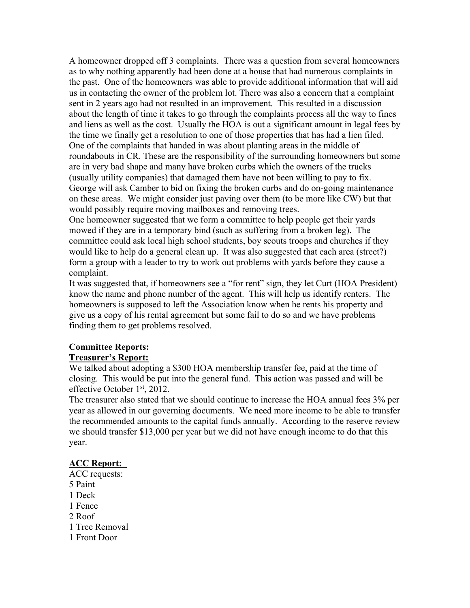A homeowner dropped off 3 complaints. There was a question from several homeowners as to why nothing apparently had been done at a house that had numerous complaints in the past. One of the homeowners was able to provide additional information that will aid us in contacting the owner of the problem lot. There was also a concern that a complaint sent in 2 years ago had not resulted in an improvement. This resulted in a discussion about the length of time it takes to go through the complaints process all the way to fines and liens as well as the cost. Usually the HOA is out a significant amount in legal fees by the time we finally get a resolution to one of those properties that has had a lien filed. One of the complaints that handed in was about planting areas in the middle of roundabouts in CR. These are the responsibility of the surrounding homeowners but some are in very bad shape and many have broken curbs which the owners of the trucks (usually utility companies) that damaged them have not been willing to pay to fix. George will ask Camber to bid on fixing the broken curbs and do on-going maintenance on these areas. We might consider just paving over them (to be more like CW) but that would possibly require moving mailboxes and removing trees.

One homeowner suggested that we form a committee to help people get their yards mowed if they are in a temporary bind (such as suffering from a broken leg). The committee could ask local high school students, boy scouts troops and churches if they would like to help do a general clean up. It was also suggested that each area (street?) form a group with a leader to try to work out problems with yards before they cause a complaint.

It was suggested that, if homeowners see a "for rent" sign, they let Curt (HOA President) know the name and phone number of the agent. This will help us identify renters. The homeowners is supposed to left the Association know when he rents his property and give us a copy of his rental agreement but some fail to do so and we have problems finding them to get problems resolved.

# **Committee Reports:**

## **Treasurer's Report:**

We talked about adopting a \$300 HOA membership transfer fee, paid at the time of closing. This would be put into the general fund. This action was passed and will be effective October 1<sup>st</sup>, 2012.

The treasurer also stated that we should continue to increase the HOA annual fees 3% per year as allowed in our governing documents. We need more income to be able to transfer the recommended amounts to the capital funds annually. According to the reserve review we should transfer \$13,000 per year but we did not have enough income to do that this year.

## **ACC Report:**

- ACC requests: 5 Paint 1 Deck 1 Fence 2 Roof 1 Tree Removal
- 1 Front Door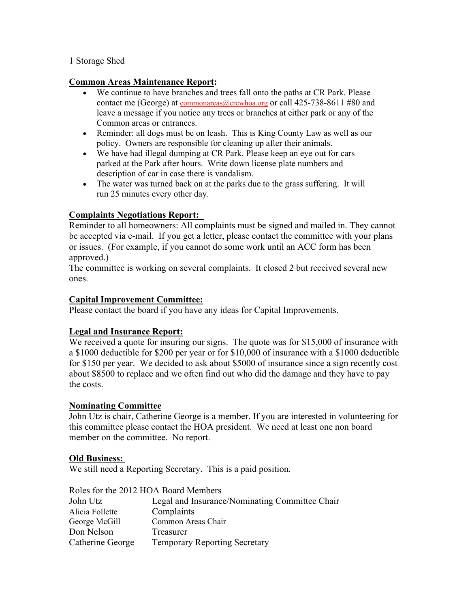#### 1 Storage Shed

#### **Common Areas Maintenance Report:**

- We continue to have branches and trees fall onto the paths at CR Park. Please contact me (George) at commonareas@crcwhoa.org or call 425-738-8611 #80 and leave a message if you notice any trees or branches at either park or any of the Common areas or entrances.
- Reminder: all dogs must be on leash. This is King County Law as well as our policy. Owners are responsible for cleaning up after their animals.
- We have had illegal dumping at CR Park. Please keep an eye out for cars parked at the Park after hours. Write down license plate numbers and description of car in case there is vandalism.
- The water was turned back on at the parks due to the grass suffering. It will run 25 minutes every other day.

#### **Complaints Negotiations Report:**

Reminder to all homeowners: All complaints must be signed and mailed in. They cannot be accepted via e-mail. If you get a letter, please contact the committee with your plans or issues. (For example, if you cannot do some work until an ACC form has been approved.)

The committee is working on several complaints. It closed 2 but received several new ones.

#### **Capital Improvement Committee:**

Please contact the board if you have any ideas for Capital Improvements.

## **Legal and Insurance Report:**

We received a quote for insuring our signs. The quote was for \$15,000 of insurance with a \$1000 deductible for \$200 per year or for \$10,000 of insurance with a \$1000 deductible for \$150 per year. We decided to ask about \$5000 of insurance since a sign recently cost about \$8500 to replace and we often find out who did the damage and they have to pay the costs.

#### **Nominating Committee**

John Utz is chair, Catherine George is a member. If you are interested in volunteering for this committee please contact the HOA president. We need at least one non board member on the committee. No report.

#### **Old Business:**

We still need a Reporting Secretary. This is a paid position.

|                  | Roles for the 2012 HOA Board Members           |
|------------------|------------------------------------------------|
| John Utz         | Legal and Insurance/Nominating Committee Chair |
| Alicia Follette  | Complaints                                     |
| George McGill    | Common Areas Chair                             |
| Don Nelson       | Treasurer                                      |
| Catherine George | <b>Temporary Reporting Secretary</b>           |